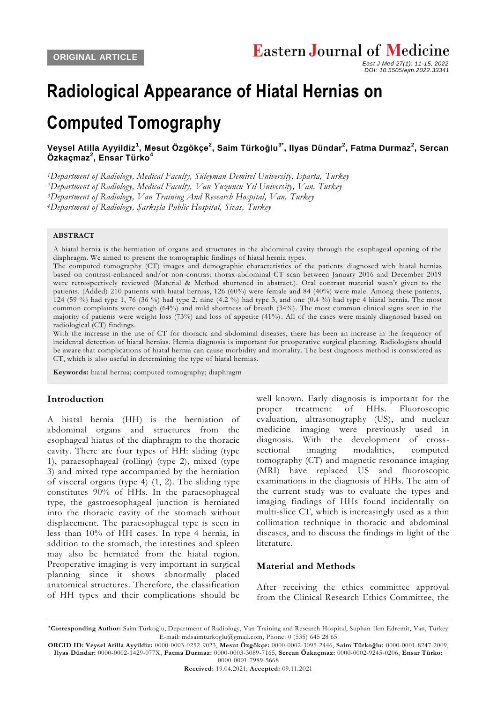*DOI: 10.5505/ejm.2022.33341*

 *East J Med 27(1): 11-15, 2022*

# **Radiological Appearance of Hiatal Hernias on**

## **Computed Tomography**

**[Veysel Atilla Ayyildiz](https://orcid.org/0000-0003-0252-9023)<sup>1</sup> , [Mesut Özgökçe](https://orcid.org/0000-0002-3095-2446)<sup>2</sup> , [Saim Türkoğlu](https://orcid.org/0000-0001-8247-2009)3\* , [Ilyas Dündar](https://orcid.org/0000-0002-1429-077X)<sup>2</sup> , [Fatma Durmaz](https://orcid.org/0000-0003-3089-7165)<sup>2</sup> , [Sercan](https://orcid.org/0000-0002-9245-0206)  [Özkaçmaz](https://orcid.org/0000-0002-9245-0206)<sup>2</sup> , [Ensar Türko](https://orcid.org/0000-0001-7989-5668)<sup>4</sup>**

*<sup>1</sup>Department of Radiology, Medical Faculty, Süleyman Demirel University, Isparta, Turkey*

*<sup>2</sup>Department of Radiology, Medical Faculty, Van Yuzuncu Yıl University, Van, Turkey*

*<sup>3</sup>Department of Radiology, Van Training And Research Hospital, Van, Turkey*

*<sup>4</sup>Department of Radiology, Şarkışla Public Hospital, Sivas, Turkey*

#### **ABSTRACT**

A hiatal hernia is the herniation of organs and structures in the abdominal cavity through the esophageal opening of the diaphragm. We aimed to present the tomographic findings of hiatal hernia types.

The computed tomography (CT) images and demographic characteristics of the patients diagnosed with hiatal hernias based on contrast-enhanced and/or non-contrast thorax-abdominal CT scan between January 2016 and December 2019 were retrospectively reviewed (Material & Method shortened in abstract.). Oral contrast material wasn't given to the patients. (Added) 210 patients with hiatal hernias, 126 (60%) were female and 84 (40%) were male. Among these patients, 124 (59 %) had type 1, 76 (36 %) had type 2, nine  $(4.2 \%)$  had type 3, and one  $(0.4 \%)$  had type 4 hiatal hernia. The most common complaints were cough (64%) and mild shortness of breath (34%). The most common clinical signs seen in the majority of patients were weight loss (73%) and loss of appetite (41%). All of the cases were mainly diagnosed based on radiological (CT) findings.

With the increase in the use of CT for thoracic and abdominal diseases, there has been an increase in the frequency of incidental detection of hiatal hernias. Hernia diagnosis is important for preoperative surgical planning. Radiologists should be aware that complications of hiatal hernia can cause morbidity and mortality. The best diagnosis method is considered as CT, which is also useful in determining the type of hiatal hernia s.

**Keywords:** hiatal hernia; computed tomography; diaphragm

#### **Introduction**

A hiatal hernia (HH) is the herniation of abdominal organs and structures from the esophageal hiatus of the diaphragm to the thoracic cavity. There are four types of HH: sliding (type 1), paraesophageal (rolling) (type 2), mixed (type 3) and mixed type accompanied by the herniation of visceral organs (type 4) (1, 2). The sliding type constitutes 90% of HHs. In the paraesophageal type, the gastroesophageal junction is herniated into the thoracic cavity of the stomach without displacement. The paraesophageal type is seen in less than 10% of HH cases. In type 4 hernia, in addition to the stomach, the intestines and spleen may also be herniated from the hiatal region. Preoperative imaging is very important in surgical planning since it shows abnormally placed anatomical structures. Therefore, the classification of HH types and their complications should be

well known. Early diagnosis is important for the proper treatment of HHs. Fluoroscopic evaluation, ultrasonography (US), and nuclear medicine imaging were previously used in diagnosis. With the development of crosssectional imaging modalities, computed tomography (CT) and magnetic resonance imaging (MRI) have replaced US and fluoroscopic examinations in the diagnosis of HHs. The aim of the current study was to evaluate the types and imaging findings of HHs found incidentally on multi-slice CT, which is increasingly used as a thin collimation technique in thoracic and abdominal diseases, and to discuss the findings in light of the literature.

#### **Material and Methods**

After receiving the ethics committee approval from the Clinical Research Ethics Committee, the

**<sup>\*</sup>Corresponding Author:** Saim Türkoğlu, Department of Radiology, Van Training and Research Hospital, Suphan 1km Edremit, Van, Turkey E-mail: mdsaimturkoglu@gmail.com, Phone: 0 (535) 645 28 65

**ORCID ID: Veysel Atilla Ayyildiz:** 0000-0003-0252-9023, **Mesut Özgökçe:** 0000-0002-3095-2446, **Saim Türkoğlu:** 0000-0001-8247-2009, **Ilyas Dündar:** 0000-0002-1429-077X, **Fatma Durmaz:** 0000-0003-3089-7165, **Sercan Özkaçmaz:** 0000-0002-9245-0206, **Ensar Türko:** 0000-0001-7989-5668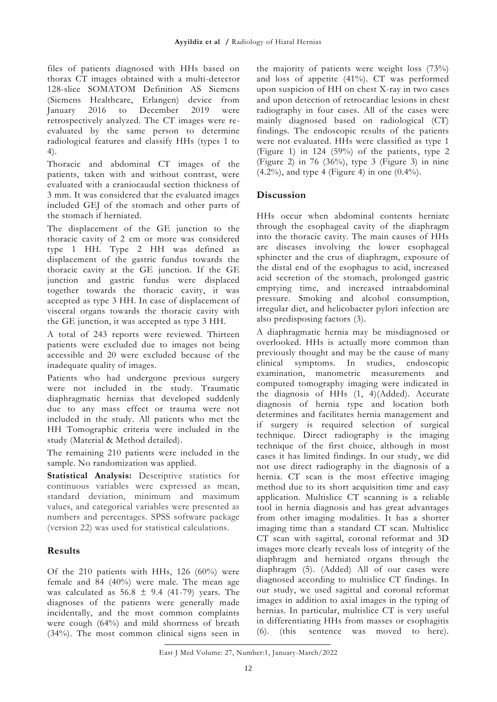files of patients diagnosed with HHs based on thorax CT images obtained with a multi-detector 128-slice SOMATOM Definition AS Siemens (Siemens Healthcare, Erlangen) device from January 2016 to December 2019 were retrospectively analyzed. The CT images were reevaluated by the same person to determine radiological features and classify HHs (types 1 to 4).

Thoracic and abdominal CT images of the patients, taken with and without contrast, were evaluated with a craniocaudal section thickness of 3 mm. It was considered that the evaluated images included GEJ of the stomach and other parts of the stomach if herniated.

The displacement of the GE junction to the thoracic cavity of 2 cm or more was considered type 1 HH. Type 2 HH was defined as displacement of the gastric fundus towards the thoracic cavity at the GE junction. If the GE junction and gastric fundus were displaced together towards the thoracic cavity, it was accepted as type 3 HH. In case of displacement of visceral organs towards the thoracic cavity with the GE junction, it was accepted as type 3 HH.

A total of 243 reports were reviewed. Thirteen patients were excluded due to images not being accessible and 20 were excluded because of the inadequate quality of images.

Patients who had undergone previous surgery were not included in the study. Traumatic diaphragmatic hernias that developed suddenly due to any mass effect or trauma were not included in the study. All patients who met the HH Tomographic criteria were included in the study (Material & Method detailed).

The remaining 210 patients were included in the sample. No randomization was applied.

**Statistical Analysis:** Descriptive statistics for continuous variables were expressed as mean, standard deviation, minimum and maximum values, and categorical variables were presented as numbers and percentages. SPSS software package (version 22) was used for statistical calculations.

## **Results**

Of the 210 patients with HHs, 126 (60%) were female and 84 (40%) were male. The mean age was calculated as  $56.8 \pm 9.4$  (41-79) years. The diagnoses of the patients were generally made incidentally, and the most common complaints were cough (64%) and mild shortness of breath (34%). The most common clinical signs seen in the majority of patients were weight loss (73%) and loss of appetite (41%). CT was performed upon suspicion of HH on chest X-ray in two cases and upon detection of retrocardiac lesions in chest radiography in four cases. All of the cases were mainly diagnosed based on radiological (CT) findings. The endoscopic results of the patients were not evaluated. HHs were classified as type 1 (Figure 1) in 124 (59%) of the patients, type 2 (Figure 2) in 76 (36%), type 3 (Figure 3) in nine  $(4.2\%)$ , and type 4 (Figure 4) in one  $(0.4\%)$ .

## **Discussion**

HHs occur when abdominal contents herniate through the esophageal cavity of the diaphragm into the thoracic cavity. The main causes of HHs are diseases involving the lower esophageal sphincter and the crus of diaphragm, exposure of the distal end of the esophagus to acid, increased acid secretion of the stomach, prolonged gastric emptying time, and increased intraabdominal pressure. Smoking and alcohol consumption, irregular diet, and helicobacter pylori infection are also predisposing factors (3).

A diaphragmatic hernia may be misdiagnosed or overlooked. HHs is actually more common than previously thought and may be the cause of many clinical symptoms. In studies, endoscopic examination, manometric measurements and computed tomography imaging were indicated in the diagnosis of HHs (1, 4)(Added). Accurate diagnosis of hernia type and location both determines and facilitates hernia management and if surgery is required selection of surgical technique. Direct radiography is the imaging technique of the first choice, although in most cases it has limited findings. In our study, we did not use direct radiography in the diagnosis of a hernia. CT scan is the most effective imaging method due to its short acquisition time and easy application. Multislice CT scanning is a reliable tool in hernia diagnosis and has great advantages from other imaging modalities. It has a shorter imaging time than a standard CT scan. Multislice CT scan with sagittal, coronal reformat and 3D images more clearly reveals loss of integrity of the diaphragm and herniated organs through the diaphragm (5). (Added) All of our cases were diagnosed according to multislice CT findings. In our study, we used sagittal and coronal reformat images in addition to axial images in the typing of hernias. In particular, multislice CT is very useful in differentiating HHs from masses or esophagitis (6). (this sentence was moved to here).

East J Med Volume: 27, Number:1, January-March/2022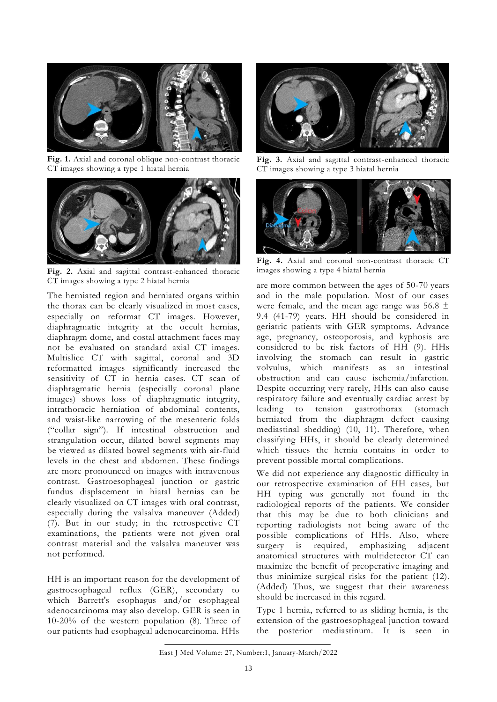

**Fig. 1.** Axial and coronal oblique non-contrast thoracic CT images showing a type 1 hiatal hernia



**Fig. 2.** Axial and sagittal contrast-enhanced thoracic CT images showing a type 2 hiatal hernia

The herniated region and herniated organs within the thorax can be clearly visualized in most cases, especially on reformat CT images. However, diaphragmatic integrity at the occult hernias, diaphragm dome, and costal attachment faces may not be evaluated on standard axial CT images. Multislice CT with sagittal, coronal and 3D reformatted images significantly increased the sensitivity of CT in hernia cases. CT scan of diaphragmatic hernia (especially coronal plane images) shows loss of diaphragmatic integrity, intrathoracic herniation of abdominal contents, and waist-like narrowing of the mesenteric folds ("collar sign"). If intestinal obstruction and strangulation occur, dilated bowel segments may be viewed as dilated bowel segments with air-fluid levels in the chest and abdomen. These findings are more pronounced on images with intravenous contrast. Gastroesophageal junction or gastric fundus displacement in hiatal hernias can be clearly visualized on CT images with oral contrast, especially during the valsalva maneuver (Added) (7). But in our study; in the retrospective CT examinations, the patients were not given oral contrast material and the valsalva maneuver was not performed.

HH is an important reason for the development of gastroesophageal reflux (GER), secondary to which Barrett's esophagus and/or esophageal adenocarcinoma may also develop. GER is seen in 10-20% of the western population (8). Three of our patients had esophageal adenocarcinoma. HHs



**Fig. 3.** Axial and sagittal contrast-enhanced thoracic CT images showing a type 3 hiatal hernia



**Fig. 4.** Axial and coronal non-contrast thoracic CT images showing a type 4 hiatal hernia

are more common between the ages of 50-70 years and in the male population. Most of our cases were female, and the mean age range was  $56.8 \pm$ 9.4 (41-79) years. HH should be considered in geriatric patients with GER symptoms. Advance age, pregnancy, osteoporosis, and kyphosis are considered to be risk factors of HH (9). HHs involving the stomach can result in gastric volvulus, which manifests as an intestinal obstruction and can cause ischemia/infarction. Despite occurring very rarely, HHs can also cause respiratory failure and eventually cardiac arrest by leading to tension gastrothorax (stomach herniated from the diaphragm defect causing mediastinal shedding) (10, 11). Therefore, when classifying HHs, it should be clearly determined which tissues the hernia contains in order to prevent possible mortal complications.

We did not experience any diagnostic difficulty in our retrospective examination of HH cases, but HH typing was generally not found in the radiological reports of the patients. We consider that this may be due to both clinicians and reporting radiologists not being aware of the possible complications of HHs. Also, where surgery is required, emphasizing adjacent anatomical structures with multidetector CT can maximize the benefit of preoperative imaging and thus minimize surgical risks for the patient (12). (Added) Thus, we suggest that their awareness should be increased in this regard.

Type 1 hernia, referred to as sliding hernia, is the extension of the gastroesophageal junction toward the posterior mediastinum. It is seen in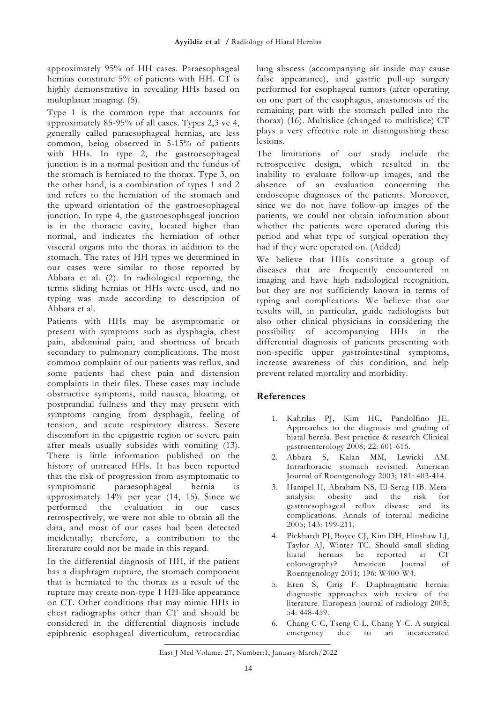approximately 95% of HH cases. Paraesophageal hernias constitute 5% of patients with HH. CT is highly demonstrative in revealing HHs based on multiplanar imaging. (5).

Type 1 is the common type that accounts for approximately 85-95% of all cases. Types 2,3 ve 4, generally called paraesophageal hernias, are less common, being observed in 5-15% of patients with HHs. In type 2, the gastroesophageal junction is in a normal position and the fundus of the stomach is herniated to the thorax. Type 3, on the other hand, is a combination of types 1 and 2 and refers to the herniation of the stomach and the upward orientation of the gastroesophageal junction. In type 4, the gastroesophageal junction is in the thoracic cavity, located higher than normal, and indicates the herniation of other visceral organs into the thorax in addition to the stomach. The rates of HH types we determined in our cases were similar to those reported by Abbara et al. (2). In radiological reporting, the terms sliding hernias or HHs were used, and no typing was made according to description of Abbara et al.

Patients with HHs may be asymptomatic or present with symptoms such as dysphagia, chest pain, abdominal pain, and shortness of breath secondary to pulmonary complications. The most common complaint of our patients was reflux, and some patients had chest pain and distension complaints in their files. These cases may include obstructive symptoms, mild nausea, bloating, or postprandial fullness and they may present with symptoms ranging from dysphagia, feeling of tension, and acute respiratory distress. Severe discomfort in the epigastric region or severe pain after meals usually subsides with vomiting (13). There is little information published on the history of untreated HHs. It has been reported that the risk of progression from asymptomatic to symptomatic paraesophageal hernia is approximately 14% per year (14, 15). Since we performed the evaluation in our cases retrospectively, we were not able to obtain all the data, and most of our cases had been detected incidentally; therefore, a contribution to the literature could not be made in this regard.

In the differential diagnosis of HH, if the patient has a diaphragm rupture, the stomach component that is herniated to the thorax as a result of the rupture may create non-type 1 HH-like appearance on CT. Other conditions that may mimic HHs in chest radiographs other than CT and should be considered in the differential diagnosis include epiphrenic esophageal diverticulum, retrocardiac

lung abscess (accompanying air inside may cause false appearance), and gastric pull-up surgery performed for esophageal tumors (after operating on one part of the esophagus, anastomosis of the remaining part with the stomach pulled into the thorax) (16). Multislice (changed to multislice) CT plays a very effective role in distinguishing these lesions.

The limitations of our study include the retrospective design, which resulted in the inability to evaluate follow-up images, and the absence of an evaluation concerning the endoscopic diagnoses of the patients. Moreover, since we do not have follow-up images of the patients, we could not obtain information about whether the patients were operated during this period and what type of surgical operation they had if they were operated on. (Added)

We believe that HHs constitute a group of diseases that are frequently encountered in imaging and have high radiological recognition, but they are not sufficiently known in terms of typing and complications. We believe that our results will, in particular, guide radiologists but also other clinical physicians in considering the possibility of accompanying HHs in the differential diagnosis of patients presenting with non-specific upper gastrointestinal symptoms, increase awareness of this condition, and help prevent related mortality and morbidity.

## **References**

- 1. Kahrilas PJ, Kim HC, Pandolfino JE. Approaches to the diagnosis and grading of hiatal hernia. Best practice & research Clinical gastroenterology 2008; 22: 601-616.
- 2. Abbara S, Kalan MM, Lewicki AM. Intrathoracic stomach revisited. American Journal of Roentgenology 2003; 181: 403-414.
- 3. Hampel H, Abraham NS, El-Serag HB. Metaanalysis: obesity and the risk for gastroesophageal reflux disease and its complications. Annals of internal medicine 2005; 143: 199-211.
- 4. Pickhardt PJ, Boyce CJ, Kim DH, Hinshaw LJ, Taylor AJ, Winter TC. Should small sliding hiatal hernias be reported at CT colonography? American Journal of Roentgenology 2011; 196: W400-W4.
- 5. Eren S, Çiriş F. Diaphragmatic hernia: diagnostic approaches with review of the literature. European journal of radiology 2005; 54: 448-459.
- 6. Chang C-C, Tseng C-L, Chang Y-C. A surgical emergency due to an incarcerated